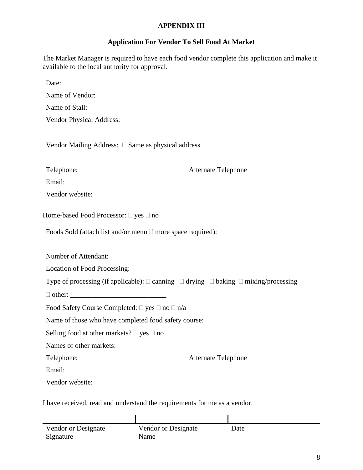## **APPENDIX III**

## **Application For Vendor To Sell Food At Market**

The Market Manager is required to have each food vendor complete this application and make it available to the local authority for approval.

Date:

Name of Vendor: Name of Stall:

Vendor Physical Address:

Vendor Mailing Address:  $\Box$  Same as physical address

Telephone: Alternate Telephone

Email:

Vendor website:

Home-based Food Processor:  $\Box$  yes  $\Box$  no

Foods Sold (attach list and/or menu if more space required):

Number of Attendant:

Location of Food Processing:

Type of processing (if applicable):  $\Box$  canning  $\Box$  drying  $\Box$  baking  $\Box$  mixing/processing

 $\Box$  other:

Food Safety Course Completed:  $\Box$  yes  $\Box$  no  $\Box$  n/a

Name of those who have completed food safety course:

Selling food at other markets?  $\Box$  yes  $\Box$  no

Names of other markets:

Telephone: Alternate Telephone

Email:

Vendor website:

I have received, read and understand the requirements for me as a vendor.